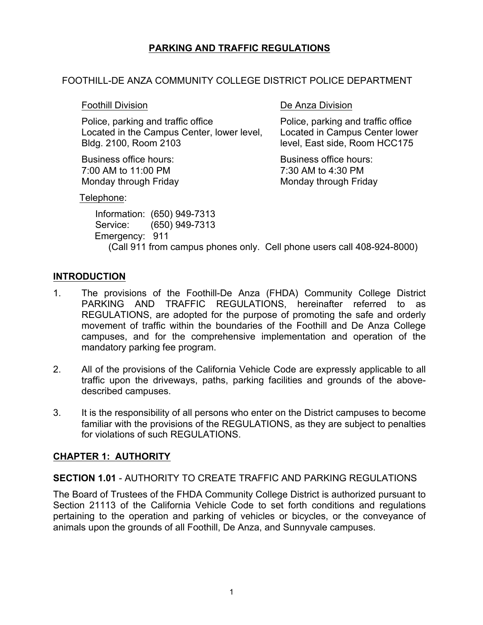# **PARKING AND TRAFFIC REGULATIONS**

#### FOOTHILL-DE ANZA COMMUNITY COLLEGE DISTRICT POLICE DEPARTMENT

Police, parking and traffic office Police, parking and traffic office Located in the Campus Center, lower level, Located in Campus Center lower Bldg. 2100, Room 2103 level, East side, Room HCC175

Business office hours: Business office hours: 7:00 AM to 11:00 PM 7:30 AM to 4:30 PM

Foothill Division **De Anza Division** 

Monday through Friday Monday through Friday

Telephone:

 Information: (650) 949-7313 Service: (650) 949-7313 Emergency: 911 (Call 911 from campus phones only. Cell phone users call 408-924-8000)

# **INTRODUCTION**

- 1. The provisions of the Foothill-De Anza (FHDA) Community College District PARKING AND TRAFFIC REGULATIONS, hereinafter referred to as REGULATIONS, are adopted for the purpose of promoting the safe and orderly movement of traffic within the boundaries of the Foothill and De Anza College campuses, and for the comprehensive implementation and operation of the mandatory parking fee program.
- 2. All of the provisions of the California Vehicle Code are expressly applicable to all traffic upon the driveways, paths, parking facilities and grounds of the abovedescribed campuses.
- 3. It is the responsibility of all persons who enter on the District campuses to become familiar with the provisions of the REGULATIONS, as they are subject to penalties for violations of such REGULATIONS.

#### **CHAPTER 1: AUTHORITY**

#### **SECTION 1.01** - AUTHORITY TO CREATE TRAFFIC AND PARKING REGULATIONS

The Board of Trustees of the FHDA Community College District is authorized pursuant to Section 21113 of the California Vehicle Code to set forth conditions and regulations pertaining to the operation and parking of vehicles or bicycles, or the conveyance of animals upon the grounds of all Foothill, De Anza, and Sunnyvale campuses.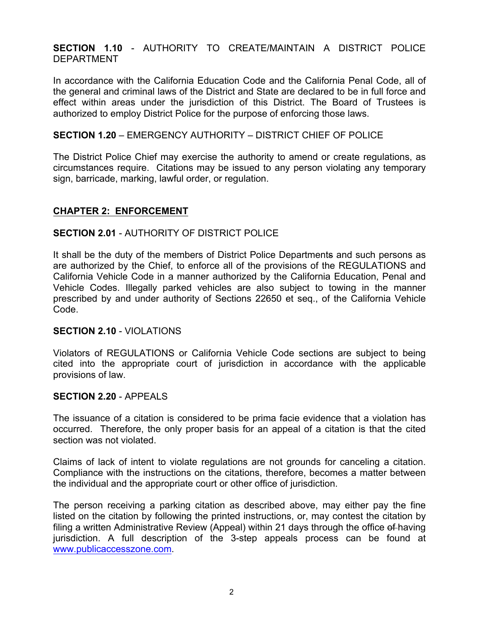### **SECTION 1.10** - AUTHORITY TO CREATE/MAINTAIN A DISTRICT POLICE DEPARTMENT

In accordance with the California Education Code and the California Penal Code, all of the general and criminal laws of the District and State are declared to be in full force and effect within areas under the jurisdiction of this District. The Board of Trustees is authorized to employ District Police for the purpose of enforcing those laws.

#### **SECTION 1.20** – EMERGENCY AUTHORITY – DISTRICT CHIEF OF POLICE

The District Police Chief may exercise the authority to amend or create regulations, as circumstances require. Citations may be issued to any person violating any temporary sign, barricade, marking, lawful order, or regulation.

#### **CHAPTER 2: ENFORCEMENT**

#### **SECTION 2.01** - AUTHORITY OF DISTRICT POLICE

It shall be the duty of the members of District Police Departments and such persons as are authorized by the Chief, to enforce all of the provisions of the REGULATIONS and California Vehicle Code in a manner authorized by the California Education, Penal and Vehicle Codes. Illegally parked vehicles are also subject to towing in the manner prescribed by and under authority of Sections 22650 et seq., of the California Vehicle Code.

#### **SECTION 2.10** - VIOLATIONS

Violators of REGULATIONS or California Vehicle Code sections are subject to being cited into the appropriate court of jurisdiction in accordance with the applicable provisions of law.

#### **SECTION 2.20** - APPEALS

The issuance of a citation is considered to be prima facie evidence that a violation has occurred. Therefore, the only proper basis for an appeal of a citation is that the cited section was not violated.

Claims of lack of intent to violate regulations are not grounds for canceling a citation. Compliance with the instructions on the citations, therefore, becomes a matter between the individual and the appropriate court or other office of jurisdiction.

The person receiving a parking citation as described above, may either pay the fine listed on the citation by following the printed instructions, or, may contest the citation by filing a written Administrative Review (Appeal) within 21 days through the office of having jurisdiction. A full description of the 3-step appeals process can be found at www.publicaccesszone.com.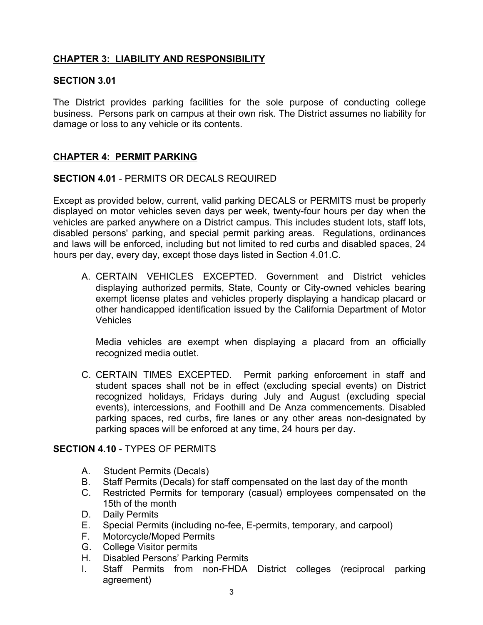# **CHAPTER 3: LIABILITY AND RESPONSIBILITY**

### **SECTION 3.01**

The District provides parking facilities for the sole purpose of conducting college business. Persons park on campus at their own risk. The District assumes no liability for damage or loss to any vehicle or its contents.

# **CHAPTER 4: PERMIT PARKING**

# **SECTION 4.01** - PERMITS OR DECALS REQUIRED

Except as provided below, current, valid parking DECALS or PERMITS must be properly displayed on motor vehicles seven days per week, twenty-four hours per day when the vehicles are parked anywhere on a District campus. This includes student lots, staff lots, disabled persons' parking, and special permit parking areas. Regulations, ordinances and laws will be enforced, including but not limited to red curbs and disabled spaces, 24 hours per day, every day, except those days listed in Section 4.01.C.

A. CERTAIN VEHICLES EXCEPTED. Government and District vehicles displaying authorized permits, State, County or City-owned vehicles bearing exempt license plates and vehicles properly displaying a handicap placard or other handicapped identification issued by the California Department of Motor Vehicles

Media vehicles are exempt when displaying a placard from an officially recognized media outlet.

C. CERTAIN TIMES EXCEPTED. Permit parking enforcement in staff and student spaces shall not be in effect (excluding special events) on District recognized holidays, Fridays during July and August (excluding special events), intercessions, and Foothill and De Anza commencements. Disabled parking spaces, red curbs, fire lanes or any other areas non-designated by parking spaces will be enforced at any time, 24 hours per day.

# **SECTION 4.10** - TYPES OF PERMITS

- A. Student Permits (Decals)
- B. Staff Permits (Decals) for staff compensated on the last day of the month
- C. Restricted Permits for temporary (casual) employees compensated on the 15th of the month
- D. Daily Permits
- E. Special Permits (including no-fee, E-permits, temporary, and carpool)
- F. Motorcycle/Moped Permits
- G. College Visitor permits
- H. Disabled Persons' Parking Permits
- I. Staff Permits from non-FHDA District colleges (reciprocal parking agreement)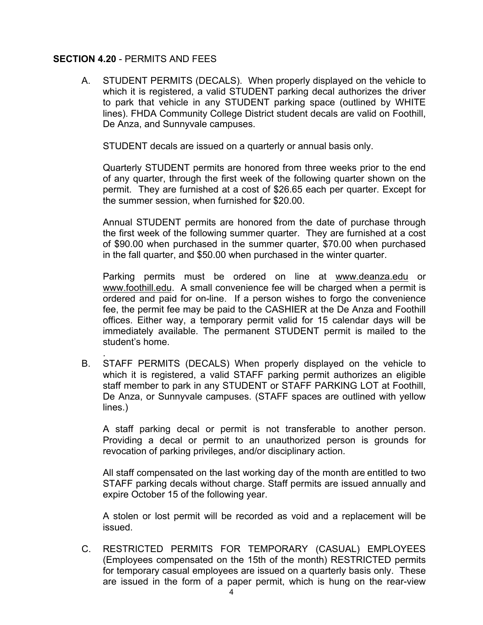#### **SECTION 4.20** - PERMITS AND FEES

A. STUDENT PERMITS (DECALS). When properly displayed on the vehicle to which it is registered, a valid STUDENT parking decal authorizes the driver to park that vehicle in any STUDENT parking space (outlined by WHITE lines). FHDA Community College District student decals are valid on Foothill, De Anza, and Sunnyvale campuses.

STUDENT decals are issued on a quarterly or annual basis only.

Quarterly STUDENT permits are honored from three weeks prior to the end of any quarter, through the first week of the following quarter shown on the permit. They are furnished at a cost of \$26.65 each per quarter. Except for the summer session, when furnished for \$20.00.

Annual STUDENT permits are honored from the date of purchase through the first week of the following summer quarter. They are furnished at a cost of \$90.00 when purchased in the summer quarter, \$70.00 when purchased in the fall quarter, and \$50.00 when purchased in the winter quarter.

Parking permits must be ordered on line at www.deanza.edu or www.foothill.edu. A small convenience fee will be charged when a permit is ordered and paid for on-line. If a person wishes to forgo the convenience fee, the permit fee may be paid to the CASHIER at the De Anza and Foothill offices. Either way, a temporary permit valid for 15 calendar days will be immediately available. The permanent STUDENT permit is mailed to the student's home.

. B. STAFF PERMITS (DECALS) When properly displayed on the vehicle to which it is registered, a valid STAFF parking permit authorizes an eligible staff member to park in any STUDENT or STAFF PARKING LOT at Foothill, De Anza, or Sunnyvale campuses. (STAFF spaces are outlined with yellow lines.)

A staff parking decal or permit is not transferable to another person. Providing a decal or permit to an unauthorized person is grounds for revocation of parking privileges, and/or disciplinary action.

All staff compensated on the last working day of the month are entitled to two STAFF parking decals without charge. Staff permits are issued annually and expire October 15 of the following year.

A stolen or lost permit will be recorded as void and a replacement will be issued.

C. RESTRICTED PERMITS FOR TEMPORARY (CASUAL) EMPLOYEES (Employees compensated on the 15th of the month) RESTRICTED permits for temporary casual employees are issued on a quarterly basis only. These are issued in the form of a paper permit, which is hung on the rear-view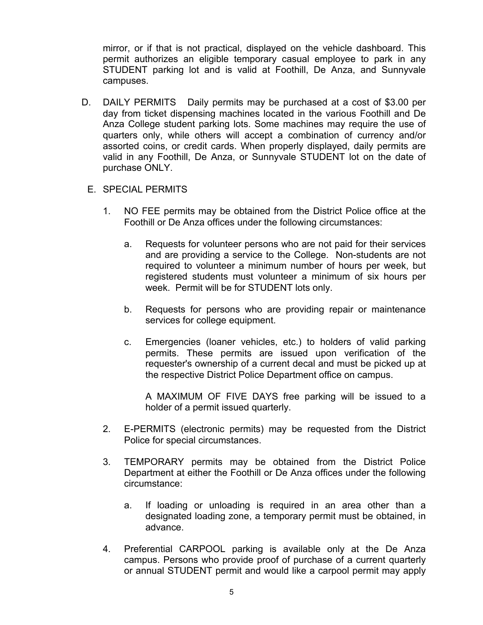mirror, or if that is not practical, displayed on the vehicle dashboard. This permit authorizes an eligible temporary casual employee to park in any STUDENT parking lot and is valid at Foothill, De Anza, and Sunnyvale campuses.

- D. DAILY PERMITS Daily permits may be purchased at a cost of \$3.00 per day from ticket dispensing machines located in the various Foothill and De Anza College student parking lots. Some machines may require the use of quarters only, while others will accept a combination of currency and/or assorted coins, or credit cards. When properly displayed, daily permits are valid in any Foothill, De Anza, or Sunnyvale STUDENT lot on the date of purchase ONLY.
	- E. SPECIAL PERMITS
		- 1. NO FEE permits may be obtained from the District Police office at the Foothill or De Anza offices under the following circumstances:
			- a. Requests for volunteer persons who are not paid for their services and are providing a service to the College. Non-students are not required to volunteer a minimum number of hours per week, but registered students must volunteer a minimum of six hours per week. Permit will be for STUDENT lots only.
			- b. Requests for persons who are providing repair or maintenance services for college equipment.
			- c. Emergencies (loaner vehicles, etc.) to holders of valid parking permits. These permits are issued upon verification of the requester's ownership of a current decal and must be picked up at the respective District Police Department office on campus.

A MAXIMUM OF FIVE DAYS free parking will be issued to a holder of a permit issued quarterly.

- 2. E-PERMITS (electronic permits) may be requested from the District Police for special circumstances.
- 3. TEMPORARY permits may be obtained from the District Police Department at either the Foothill or De Anza offices under the following circumstance:
	- a. If loading or unloading is required in an area other than a designated loading zone, a temporary permit must be obtained, in advance.
- 4. Preferential CARPOOL parking is available only at the De Anza campus. Persons who provide proof of purchase of a current quarterly or annual STUDENT permit and would like a carpool permit may apply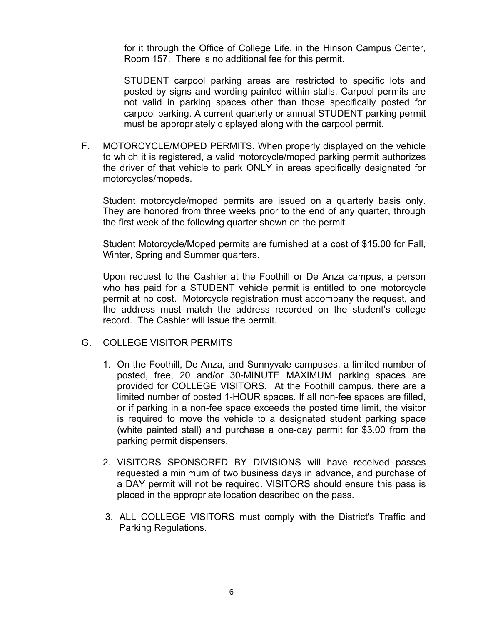for it through the Office of College Life, in the Hinson Campus Center, Room 157. There is no additional fee for this permit.

STUDENT carpool parking areas are restricted to specific lots and posted by signs and wording painted within stalls. Carpool permits are not valid in parking spaces other than those specifically posted for carpool parking. A current quarterly or annual STUDENT parking permit must be appropriately displayed along with the carpool permit.

F. MOTORCYCLE/MOPED PERMITS. When properly displayed on the vehicle to which it is registered, a valid motorcycle/moped parking permit authorizes the driver of that vehicle to park ONLY in areas specifically designated for motorcycles/mopeds.

Student motorcycle/moped permits are issued on a quarterly basis only. They are honored from three weeks prior to the end of any quarter, through the first week of the following quarter shown on the permit.

Student Motorcycle/Moped permits are furnished at a cost of \$15.00 for Fall, Winter, Spring and Summer quarters.

Upon request to the Cashier at the Foothill or De Anza campus, a person who has paid for a STUDENT vehicle permit is entitled to one motorcycle permit at no cost. Motorcycle registration must accompany the request, and the address must match the address recorded on the student's college record. The Cashier will issue the permit.

- G. COLLEGE VISITOR PERMITS
	- 1. On the Foothill, De Anza, and Sunnyvale campuses, a limited number of posted, free, 20 and/or 30-MINUTE MAXIMUM parking spaces are provided for COLLEGE VISITORS. At the Foothill campus, there are a limited number of posted 1-HOUR spaces. If all non-fee spaces are filled, or if parking in a non-fee space exceeds the posted time limit, the visitor is required to move the vehicle to a designated student parking space (white painted stall) and purchase a one-day permit for \$3.00 from the parking permit dispensers.
	- 2. VISITORS SPONSORED BY DIVISIONS will have received passes requested a minimum of two business days in advance, and purchase of a DAY permit will not be required. VISITORS should ensure this pass is placed in the appropriate location described on the pass.
	- 3. ALL COLLEGE VISITORS must comply with the District's Traffic and Parking Regulations.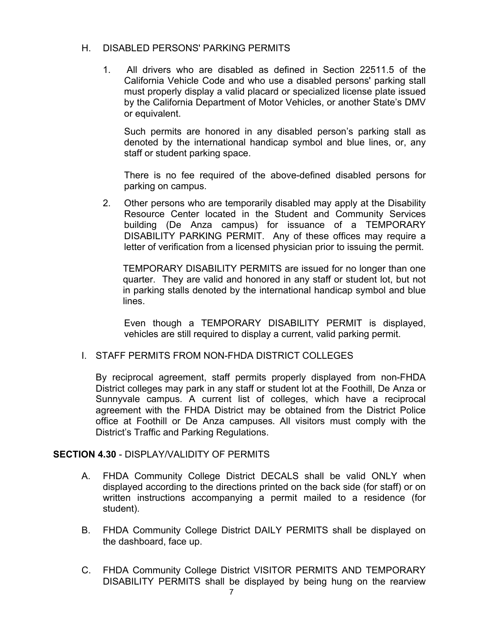#### H. DISABLED PERSONS' PARKING PERMITS

1. All drivers who are disabled as defined in Section 22511.5 of the California Vehicle Code and who use a disabled persons' parking stall must properly display a valid placard or specialized license plate issued by the California Department of Motor Vehicles, or another State's DMV or equivalent.

Such permits are honored in any disabled person's parking stall as denoted by the international handicap symbol and blue lines, or, any staff or student parking space.

There is no fee required of the above-defined disabled persons for parking on campus.

2. Other persons who are temporarily disabled may apply at the Disability Resource Center located in the Student and Community Services building (De Anza campus) for issuance of a TEMPORARY DISABILITY PARKING PERMIT. Any of these offices may require a letter of verification from a licensed physician prior to issuing the permit.

TEMPORARY DISABILITY PERMITS are issued for no longer than one quarter. They are valid and honored in any staff or student lot, but not in parking stalls denoted by the international handicap symbol and blue lines.

Even though a TEMPORARY DISABILITY PERMIT is displayed, vehicles are still required to display a current, valid parking permit.

#### I. STAFF PERMITS FROM NON-FHDA DISTRICT COLLEGES

By reciprocal agreement, staff permits properly displayed from non-FHDA District colleges may park in any staff or student lot at the Foothill, De Anza or Sunnyvale campus. A current list of colleges, which have a reciprocal agreement with the FHDA District may be obtained from the District Police office at Foothill or De Anza campuses. All visitors must comply with the District's Traffic and Parking Regulations.

#### **SECTION 4.30** - DISPLAY/VALIDITY OF PERMITS

- A. FHDA Community College District DECALS shall be valid ONLY when displayed according to the directions printed on the back side (for staff) or on written instructions accompanying a permit mailed to a residence (for student).
- B. FHDA Community College District DAILY PERMITS shall be displayed on the dashboard, face up.
- C. FHDA Community College District VISITOR PERMITS AND TEMPORARY DISABILITY PERMITS shall be displayed by being hung on the rearview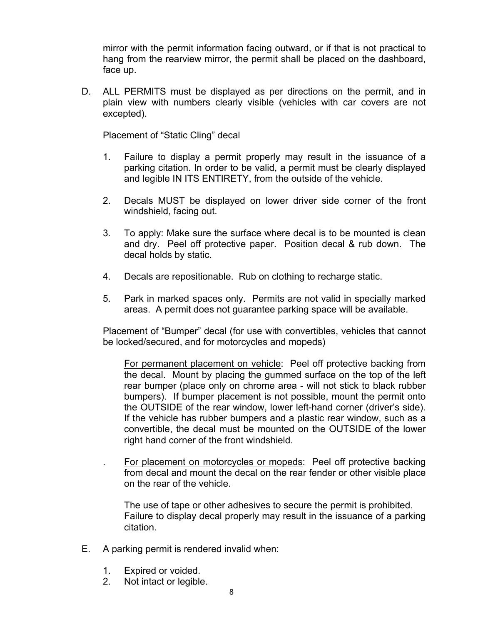mirror with the permit information facing outward, or if that is not practical to hang from the rearview mirror, the permit shall be placed on the dashboard, face up.

D. ALL PERMITS must be displayed as per directions on the permit, and in plain view with numbers clearly visible (vehicles with car covers are not excepted).

Placement of "Static Cling" decal

- 1. Failure to display a permit properly may result in the issuance of a parking citation. In order to be valid, a permit must be clearly displayed and legible IN ITS ENTIRETY, from the outside of the vehicle.
- 2. Decals MUST be displayed on lower driver side corner of the front windshield, facing out.
- 3. To apply: Make sure the surface where decal is to be mounted is clean and dry. Peel off protective paper. Position decal & rub down. The decal holds by static.
- 4. Decals are repositionable. Rub on clothing to recharge static.
- 5. Park in marked spaces only. Permits are not valid in specially marked areas. A permit does not guarantee parking space will be available.

Placement of "Bumper" decal (for use with convertibles, vehicles that cannot be locked/secured, and for motorcycles and mopeds)

For permanent placement on vehicle: Peel off protective backing from the decal. Mount by placing the gummed surface on the top of the left rear bumper (place only on chrome area - will not stick to black rubber bumpers). If bumper placement is not possible, mount the permit onto the OUTSIDE of the rear window, lower left-hand corner (driver's side). If the vehicle has rubber bumpers and a plastic rear window, such as a convertible, the decal must be mounted on the OUTSIDE of the lower right hand corner of the front windshield.

. For placement on motorcycles or mopeds: Peel off protective backing from decal and mount the decal on the rear fender or other visible place on the rear of the vehicle.

The use of tape or other adhesives to secure the permit is prohibited. Failure to display decal properly may result in the issuance of a parking citation.

- E. A parking permit is rendered invalid when:
	- 1. Expired or voided.
	- 2. Not intact or legible.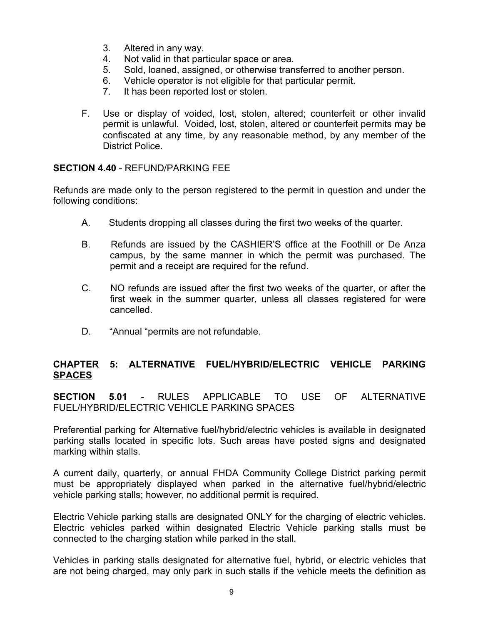- 3. Altered in any way.
- 4. Not valid in that particular space or area.
- 5. Sold, loaned, assigned, or otherwise transferred to another person.
- 6. Vehicle operator is not eligible for that particular permit.
- 7. It has been reported lost or stolen.
- F. Use or display of voided, lost, stolen, altered; counterfeit or other invalid permit is unlawful. Voided, lost, stolen, altered or counterfeit permits may be confiscated at any time, by any reasonable method, by any member of the District Police.

# **SECTION 4.40** - REFUND/PARKING FEE

Refunds are made only to the person registered to the permit in question and under the following conditions:

- A. Students dropping all classes during the first two weeks of the quarter.
- B. Refunds are issued by the CASHIER'S office at the Foothill or De Anza campus, by the same manner in which the permit was purchased. The permit and a receipt are required for the refund.
- C. NO refunds are issued after the first two weeks of the quarter, or after the first week in the summer quarter, unless all classes registered for were cancelled.
- D. "Annual "permits are not refundable.

# **CHAPTER 5: ALTERNATIVE FUEL/HYBRID/ELECTRIC VEHICLE PARKING SPACES**

**SECTION 5.01** - RULES APPLICABLE TO USE OF ALTERNATIVE FUEL/HYBRID/ELECTRIC VEHICLE PARKING SPACES

Preferential parking for Alternative fuel/hybrid/electric vehicles is available in designated parking stalls located in specific lots. Such areas have posted signs and designated marking within stalls.

A current daily, quarterly, or annual FHDA Community College District parking permit must be appropriately displayed when parked in the alternative fuel/hybrid/electric vehicle parking stalls; however, no additional permit is required.

Electric Vehicle parking stalls are designated ONLY for the charging of electric vehicles. Electric vehicles parked within designated Electric Vehicle parking stalls must be connected to the charging station while parked in the stall.

Vehicles in parking stalls designated for alternative fuel, hybrid, or electric vehicles that are not being charged, may only park in such stalls if the vehicle meets the definition as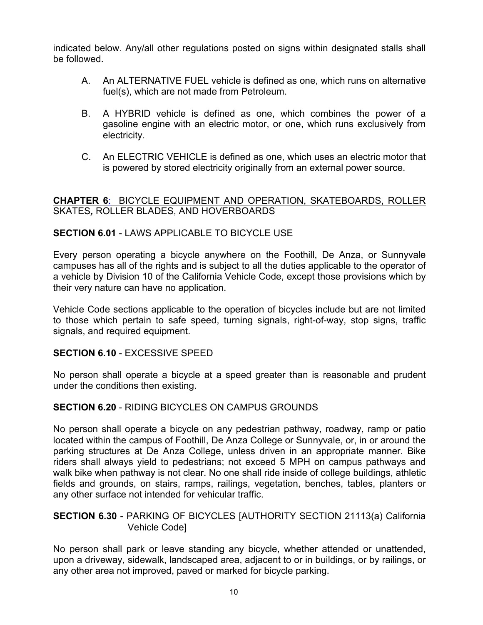indicated below. Any/all other regulations posted on signs within designated stalls shall be followed.

- A. An ALTERNATIVE FUEL vehicle is defined as one, which runs on alternative fuel(s), which are not made from Petroleum.
- B. A HYBRID vehicle is defined as one, which combines the power of a gasoline engine with an electric motor, or one, which runs exclusively from electricity.
- C. An ELECTRIC VEHICLE is defined as one, which uses an electric motor that is powered by stored electricity originally from an external power source.

# **CHAPTER 6**: BICYCLE EQUIPMENT AND OPERATION, SKATEBOARDS, ROLLER SKATES*,* ROLLER BLADES, AND HOVERBOARDS

# **SECTION 6.01** - LAWS APPLICABLE TO BICYCLE USE

Every person operating a bicycle anywhere on the Foothill, De Anza, or Sunnyvale campuses has all of the rights and is subject to all the duties applicable to the operator of a vehicle by Division 10 of the California Vehicle Code, except those provisions which by their very nature can have no application.

Vehicle Code sections applicable to the operation of bicycles include but are not limited to those which pertain to safe speed, turning signals, right-of-way, stop signs, traffic signals, and required equipment.

#### **SECTION 6.10** - EXCESSIVE SPEED

No person shall operate a bicycle at a speed greater than is reasonable and prudent under the conditions then existing.

#### **SECTION 6.20** - RIDING BICYCLES ON CAMPUS GROUNDS

No person shall operate a bicycle on any pedestrian pathway, roadway, ramp or patio located within the campus of Foothill, De Anza College or Sunnyvale, or, in or around the parking structures at De Anza College, unless driven in an appropriate manner. Bike riders shall always yield to pedestrians; not exceed 5 MPH on campus pathways and walk bike when pathway is not clear. No one shall ride inside of college buildings, athletic fields and grounds, on stairs, ramps, railings, vegetation, benches, tables, planters or any other surface not intended for vehicular traffic.

#### **SECTION 6.30** - PARKING OF BICYCLES [AUTHORITY SECTION 21113(a) California Vehicle Code]

No person shall park or leave standing any bicycle, whether attended or unattended, upon a driveway, sidewalk, landscaped area, adjacent to or in buildings, or by railings, or any other area not improved, paved or marked for bicycle parking.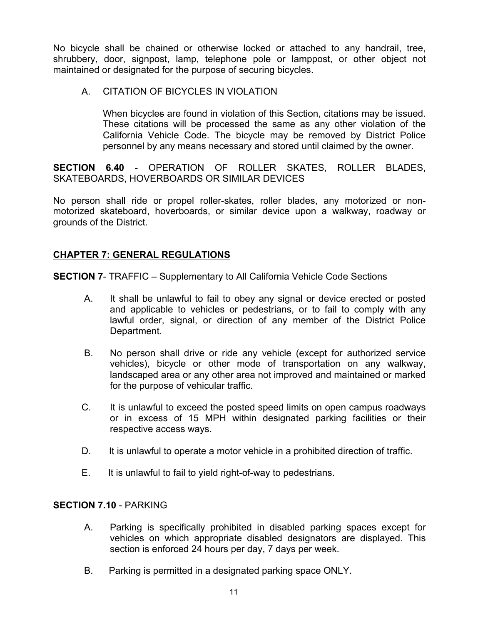No bicycle shall be chained or otherwise locked or attached to any handrail, tree, shrubbery, door, signpost, lamp, telephone pole or lamppost, or other object not maintained or designated for the purpose of securing bicycles.

# A. CITATION OF BICYCLES IN VIOLATION

When bicycles are found in violation of this Section, citations may be issued. These citations will be processed the same as any other violation of the California Vehicle Code. The bicycle may be removed by District Police personnel by any means necessary and stored until claimed by the owner.

**SECTION 6.40** - OPERATION OF ROLLER SKATES, ROLLER BLADES, SKATEBOARDS, HOVERBOARDS OR SIMILAR DEVICES

No person shall ride or propel roller-skates, roller blades, any motorized or nonmotorized skateboard, hoverboards, or similar device upon a walkway, roadway or grounds of the District.

# **CHAPTER 7: GENERAL REGULATIONS**

**SECTION 7**- TRAFFIC – Supplementary to All California Vehicle Code Sections

- A. It shall be unlawful to fail to obey any signal or device erected or posted and applicable to vehicles or pedestrians, or to fail to comply with any lawful order, signal, or direction of any member of the District Police Department.
- B. No person shall drive or ride any vehicle (except for authorized service vehicles), bicycle or other mode of transportation on any walkway, landscaped area or any other area not improved and maintained or marked for the purpose of vehicular traffic.
- C. It is unlawful to exceed the posted speed limits on open campus roadways or in excess of 15 MPH within designated parking facilities or their respective access ways.
- D. It is unlawful to operate a motor vehicle in a prohibited direction of traffic.
- E. It is unlawful to fail to yield right-of-way to pedestrians.

#### **SECTION 7.10** - PARKING

- A. Parking is specifically prohibited in disabled parking spaces except for vehicles on which appropriate disabled designators are displayed. This section is enforced 24 hours per day, 7 days per week.
- B. Parking is permitted in a designated parking space ONLY.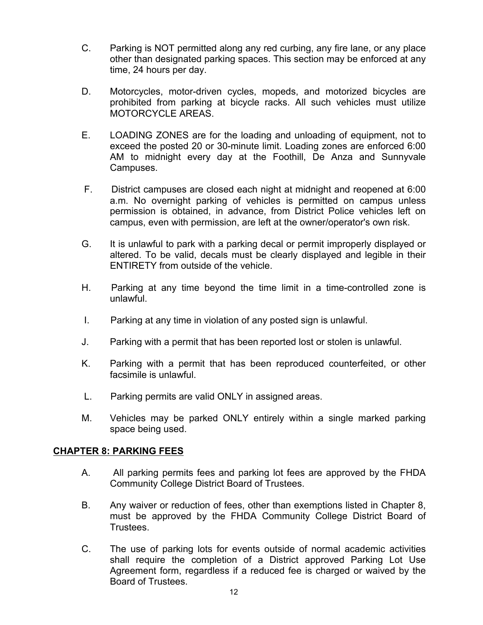- C. Parking is NOT permitted along any red curbing, any fire lane, or any place other than designated parking spaces. This section may be enforced at any time, 24 hours per day.
- D. Motorcycles, motor-driven cycles, mopeds, and motorized bicycles are prohibited from parking at bicycle racks. All such vehicles must utilize MOTORCYCLE AREAS.
- E. LOADING ZONES are for the loading and unloading of equipment, not to exceed the posted 20 or 30-minute limit. Loading zones are enforced 6:00 AM to midnight every day at the Foothill, De Anza and Sunnyvale Campuses.
- F. District campuses are closed each night at midnight and reopened at 6:00 a.m. No overnight parking of vehicles is permitted on campus unless permission is obtained, in advance, from District Police vehicles left on campus, even with permission, are left at the owner/operator's own risk.
- G. It is unlawful to park with a parking decal or permit improperly displayed or altered. To be valid, decals must be clearly displayed and legible in their ENTIRETY from outside of the vehicle.
- H. Parking at any time beyond the time limit in a time-controlled zone is unlawful.
- I. Parking at any time in violation of any posted sign is unlawful.
- J. Parking with a permit that has been reported lost or stolen is unlawful.
- K. Parking with a permit that has been reproduced counterfeited, or other facsimile is unlawful.
- L. Parking permits are valid ONLY in assigned areas.
- M. Vehicles may be parked ONLY entirely within a single marked parking space being used.

#### **CHAPTER 8: PARKING FEES**

- A. All parking permits fees and parking lot fees are approved by the FHDA Community College District Board of Trustees.
- B. Any waiver or reduction of fees, other than exemptions listed in Chapter 8, must be approved by the FHDA Community College District Board of Trustees.
- C. The use of parking lots for events outside of normal academic activities shall require the completion of a District approved Parking Lot Use Agreement form, regardless if a reduced fee is charged or waived by the Board of Trustees.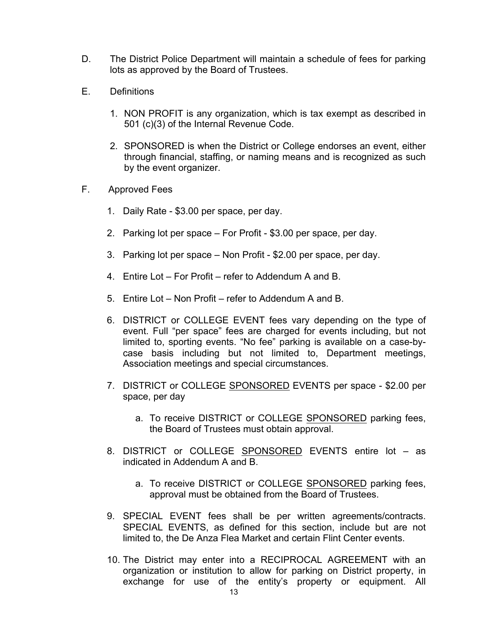- D. The District Police Department will maintain a schedule of fees for parking lots as approved by the Board of Trustees.
- E. Definitions
	- 1. NON PROFIT is any organization, which is tax exempt as described in 501 (c)(3) of the Internal Revenue Code.
	- 2. SPONSORED is when the District or College endorses an event, either through financial, staffing, or naming means and is recognized as such by the event organizer.
- F. Approved Fees
	- 1. Daily Rate \$3.00 per space, per day.
	- 2. Parking lot per space For Profit \$3.00 per space, per day.
	- 3. Parking lot per space Non Profit \$2.00 per space, per day.
	- 4. Entire Lot For Profit refer to Addendum A and B.
	- 5. Entire Lot Non Profit refer to Addendum A and B.
	- 6. DISTRICT or COLLEGE EVENT fees vary depending on the type of event. Full "per space" fees are charged for events including, but not limited to, sporting events. "No fee" parking is available on a case-bycase basis including but not limited to, Department meetings, Association meetings and special circumstances.
	- 7. DISTRICT or COLLEGE SPONSORED EVENTS per space \$2.00 per space, per day
		- a. To receive DISTRICT or COLLEGE SPONSORED parking fees, the Board of Trustees must obtain approval.
	- 8. DISTRICT or COLLEGE SPONSORED EVENTS entire lot as indicated in Addendum A and B.
		- a. To receive DISTRICT or COLLEGE SPONSORED parking fees, approval must be obtained from the Board of Trustees.
	- 9. SPECIAL EVENT fees shall be per written agreements/contracts. SPECIAL EVENTS, as defined for this section, include but are not limited to, the De Anza Flea Market and certain Flint Center events.
	- 10. The District may enter into a RECIPROCAL AGREEMENT with an organization or institution to allow for parking on District property, in exchange for use of the entity's property or equipment. All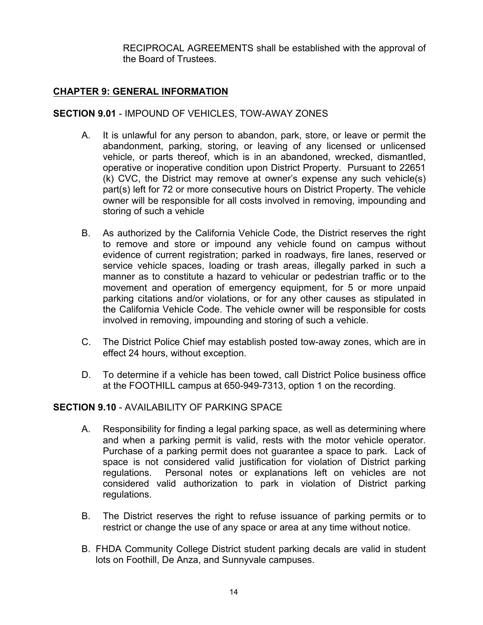RECIPROCAL AGREEMENTS shall be established with the approval of the Board of Trustees.

# **CHAPTER 9: GENERAL INFORMATION**

# **SECTION 9.01** - IMPOUND OF VEHICLES, TOW-AWAY ZONES

- A. It is unlawful for any person to abandon, park, store, or leave or permit the abandonment, parking, storing, or leaving of any licensed or unlicensed vehicle, or parts thereof, which is in an abandoned, wrecked, dismantled, operative or inoperative condition upon District Property. Pursuant to 22651 (k) CVC, the District may remove at owner's expense any such vehicle(s) part(s) left for 72 or more consecutive hours on District Property. The vehicle owner will be responsible for all costs involved in removing, impounding and storing of such a vehicle
- B. As authorized by the California Vehicle Code, the District reserves the right to remove and store or impound any vehicle found on campus without evidence of current registration; parked in roadways, fire lanes, reserved or service vehicle spaces, loading or trash areas, illegally parked in such a manner as to constitute a hazard to vehicular or pedestrian traffic or to the movement and operation of emergency equipment, for 5 or more unpaid parking citations and/or violations, or for any other causes as stipulated in the California Vehicle Code. The vehicle owner will be responsible for costs involved in removing, impounding and storing of such a vehicle.
- C. The District Police Chief may establish posted tow-away zones, which are in effect 24 hours, without exception.
- D. To determine if a vehicle has been towed, call District Police business office at the FOOTHILL campus at 650-949-7313, option 1 on the recording.

#### **SECTION 9.10** - AVAILABILITY OF PARKING SPACE

- A. Responsibility for finding a legal parking space, as well as determining where and when a parking permit is valid, rests with the motor vehicle operator. Purchase of a parking permit does not guarantee a space to park. Lack of space is not considered valid justification for violation of District parking regulations. Personal notes or explanations left on vehicles are not considered valid authorization to park in violation of District parking regulations.
- B. The District reserves the right to refuse issuance of parking permits or to restrict or change the use of any space or area at any time without notice.
- B. FHDA Community College District student parking decals are valid in student lots on Foothill, De Anza, and Sunnyvale campuses.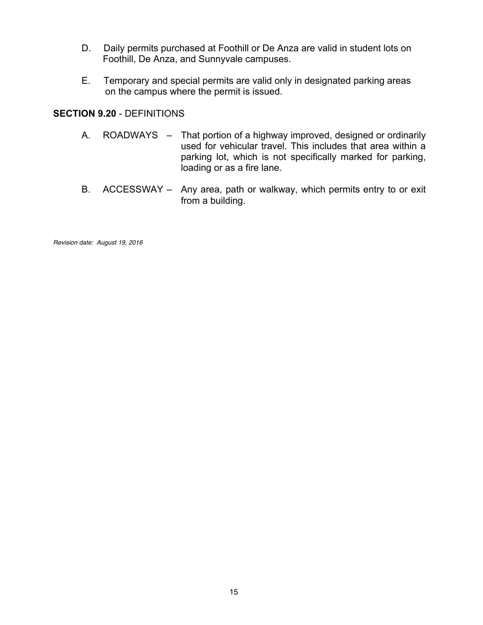- D. Daily permits purchased at Foothill or De Anza are valid in student lots on Foothill, De Anza, and Sunnyvale campuses.
- E. Temporary and special permits are valid only in designated parking areas on the campus where the permit is issued.

#### **SECTION 9.20** - DEFINITIONS

- A. ROADWAYS That portion of a highway improved, designed or ordinarily used for vehicular travel. This includes that area within a parking lot, which is not specifically marked for parking, loading or as a fire lane.
- B. ACCESSWAY Any area, path or walkway, which permits entry to or exit from a building.

*Revision date: August 19, 2016*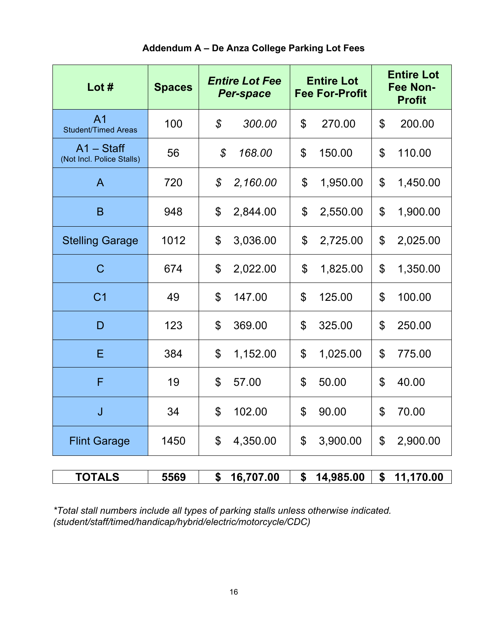| Addendum A – De Anza College Parking Lot Fees |  |  |  |  |  |
|-----------------------------------------------|--|--|--|--|--|
|-----------------------------------------------|--|--|--|--|--|

| Lot $#$                                      | <b>Spaces</b> | <b>Entire Lot Fee</b><br><b>Per-space</b> | <b>Entire Lot</b><br><b>Fee For-Profit</b> | <b>Entire Lot</b><br><b>Fee Non-</b><br><b>Profit</b> |  |
|----------------------------------------------|---------------|-------------------------------------------|--------------------------------------------|-------------------------------------------------------|--|
| A <sub>1</sub><br><b>Student/Timed Areas</b> | 100           | $\mathcal{S}$<br>300.00                   | \$<br>270.00                               | $\mathbb{S}$<br>200.00                                |  |
| $A1 - Statf$<br>(Not Incl. Police Stalls)    | 56            | $\mathcal{S}$<br>168.00                   | \$<br>150.00                               | \$<br>110.00                                          |  |
| A                                            | 720           | $\mathcal{L}$<br>2,160.00                 | \$<br>1,950.00                             | $\boldsymbol{\mathsf{S}}$<br>1,450.00                 |  |
| B                                            | 948           | \$<br>2,844.00                            | \$<br>2,550.00                             | $\boldsymbol{\mathsf{S}}$<br>1,900.00                 |  |
| <b>Stelling Garage</b>                       | 1012          | \$<br>3,036.00                            | \$<br>2,725.00                             | \$<br>2,025.00                                        |  |
| $\mathsf{C}$                                 | 674           | \$<br>2,022.00                            | \$<br>1,825.00                             | \$<br>1,350.00                                        |  |
| C <sub>1</sub>                               | 49            | $\mathbb{S}$<br>147.00                    | \$<br>125.00                               | \$<br>100.00                                          |  |
| D                                            | 123           | $\mathfrak{L}$<br>369.00                  | \$<br>325.00                               | \$<br>250.00                                          |  |
| Ε                                            | 384           | \$<br>1,152.00                            | \$<br>1,025.00                             | \$<br>775.00                                          |  |
| F                                            | 19            | \$<br>57.00                               | \$<br>50.00                                | \$<br>40.00                                           |  |
| J                                            | 34            | \$<br>102.00                              | \$<br>90.00                                | \$<br>70.00                                           |  |
| <b>Flint Garage</b>                          | 1450          | \$<br>4,350.00                            | \$<br>3,900.00                             | \$<br>2,900.00                                        |  |
| <b>TOTALS</b>                                | 5569          | \$16,707.00                               |                                            | $$14,985.00 \;   \; $11,170.00$                       |  |

*\*Total stall numbers include all types of parking stalls unless otherwise indicated. (student/staff/timed/handicap/hybrid/electric/motorcycle/CDC)*